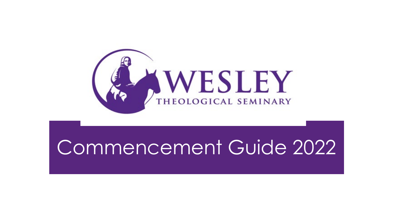

# Commencement Guide 2022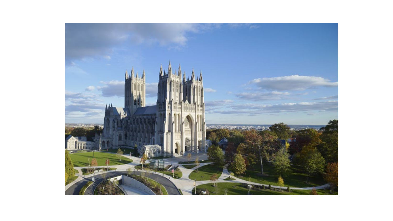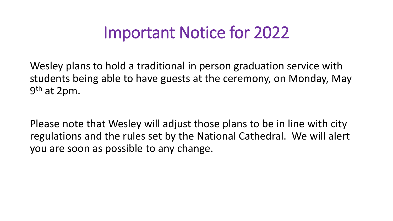## Important Notice for 2022

Wesley plans to hold a traditional in person graduation service with students being able to have guests at the ceremony, on Monday, May 9th at 2pm.

Please note that Wesley will adjust those plans to be in line with city regulations and the rules set by the National Cathedral. We will alert you are soon as possible to any change.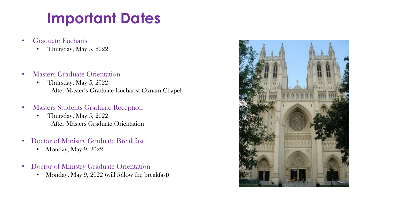### **Important Dates**

- Graduate Eucharist
	- Thursday, May 5, 2022
- Masters Graduate Orientation
	- Thursday, May 5, 2022 After Master's Graduate Eucharist Oxnam Chapel
- Masters Students Graduate Reception
	- Thursday, May 5, 2022 After Masters Graduate Orientation
- Doctor of Ministry Graduate Breakfast
	- Monday, May 9, 2022
- Doctor of Ministry Graduate Orientation
	- Monday, May 9, 2022 (will follow the breakfast)

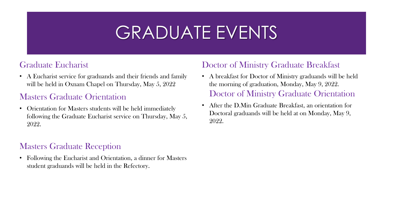# GRADUATE EVENTS

#### Graduate Eucharist

• A Eucharist service for graduands and their friends and family will be held in Oxnam Chapel on Thursday, May 5, 2022

#### Masters Graduate Orientation

• Orientation for Masters students will be held immediately following the Graduate Eucharist service on Thursday, May 5, 2022.

#### Masters Graduate Reception

• Following the Eucharist and Orientation, a dinner for Masters student graduands will be held in the Refectory.

#### Doctor of Ministry Graduate Breakfast

- A breakfast for Doctor of Ministry graduands will be held the morning of graduation, Monday, May 9, 2022. Doctor of Ministry Graduate Orientation
- After the D.Min Graduate Breakfast, an orientation for Doctoral graduands will be held at on Monday, May 9, 2022.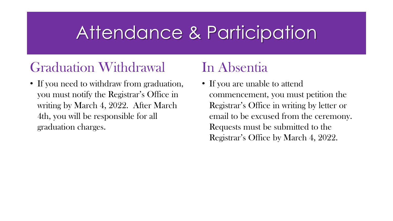# Attendance & Participation

### Graduation Withdrawal

• If you need to withdraw from graduation, you must notify the Registrar's Office in writing by March 4, 2022. After March 4th, you will be responsible for all graduation charges.

### In Absentia

• If you are unable to attend commencement, you must petition the Registrar's Office in writing by letter or email to be excused from the ceremony. Requests must be submitted to the Registrar's Office by March 4, 2022.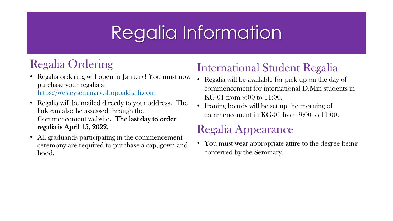# Regalia Information

### Regalia Ordering

- Regalia ordering will open in January! You must now purchase your regalia at [https://wesleyseminary.shopoakhalli.com](https://wesleyseminary.shopoakhalli.com/)
- Regalia will be mailed directly to your address. The link can also be assessed through the Commencement website. The last day to order regalia is April 15, 2022.
- All graduands participating in the commencement ceremony are required to purchase a cap, gown and hood.

### International Student Regalia

- Regalia will be available for pick up on the day of commencement for international D.Min students in KG-01 from 9:00 to 11:00.
- Ironing boards will be set up the morning of commencement in KG-01 from 9:00 to 11:00.

#### Regalia Appearance

• You must wear appropriate attire to the degree being conferred by the Seminary.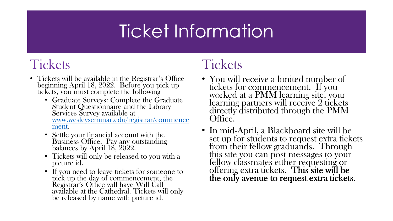# Ticket Information

### **Tickets**

- Tickets will be available in the Registrar's Office beginning April 18, 2022. Before you pick up tickets, you must complete the following
	- Graduate Surveys: Complete the Graduate Student Questionnaire and the Library Services Survey available at [www.wesleyseminar.edu/registrar/commence](http://www.wesleyseminar.edu/commencement) ment.
	- Settle your financial account with the Business Office. Pay any outstanding balances by April 18, 2022.
	- Tickets will only be released to you with a picture id.
	- If you need to leave tickets for someone to pick up the day of commencement, the Registrar's Office will have Will Call available at the Cathedral. Tickets will only be released by name with picture id.

### **Tickets**

- You will receive a limited number of tickets for commencement. If you worked at a PMM learning site, your learning partners will receive 2 tickets directly distributed through the PMM Office.
- In mid-April, a Blackboard site will be set up for students to request extra tickets from their fellow graduands. Through this site you can post messages to your fellow classmates either requesting or offering extra tickets. This site will be the only avenue to request extra tickets.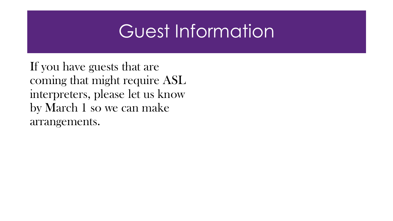# Guest Information

If you have guests that are coming that might require ASL interpreters, please let us know by March 1 so we can make arrangements.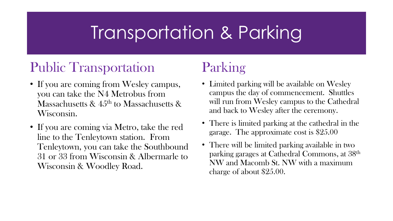# Transportation & Parking

### Public Transportation

- If you are coming from Wesley campus, you can take the N4 Metrobus from Massachusetts  $\&$  45<sup>th</sup> to Massachusetts  $\&$ Wisconsin.
- If you are coming via Metro, take the red line to the Tenleytown station. From Tenleytown, you can take the Southbound 31 or 33 from Wisconsin & Albermarle to Wisconsin & Woodley Road.

### Parking

- Limited parking will be available on Wesley campus the day of commencement. Shuttles will run from Wesley campus to the Cathedral and back to Wesley after the ceremony.
- There is limited parking at the cathedral in the garage. The approximate cost is \$25.00
- There will be limited parking available in two parking garages at Cathedral Commons, at 38th NW and Macomb St. NW with a maximum charge of about \$25.00.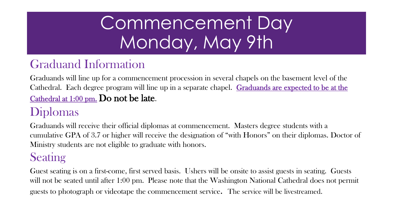# Commencement Day Monday, May 9th

### Graduand Information

Graduands will line up for a commencement procession in several chapels on the basement level of the Cathedral. Each degree program will line up in a separate chapel. Graduands are expected to be at the Cathedral at 1:00 pm. Do not be late.

### Diplomas

Graduands will receive their official diplomas at commencement. Masters degree students with a cumulative GPA of 3.7 or higher will receive the designation of "with Honors" on their diplomas. Doctor of Ministry students are not eligible to graduate with honors.

#### Seating

Guest seating is on a first-come, first served basis. Ushers will be onsite to assist guests in seating. Guests will not be seated until after 1:00 pm. Please note that the Washington National Cathedral does not permit guests to photograph or videotape the commencement service. The service will be livestreamed.